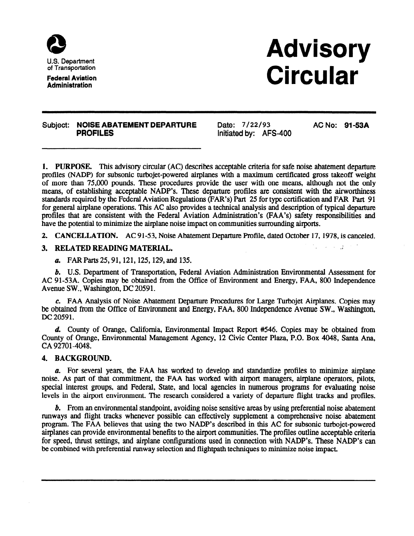

Federal Aviation **Administration** 

# Advisory **Circular**

### Subject: NOISE ABATEMENT DEPARTURE Date: 7/22/93 AC No: 91-53A **PROFILES** initiated by: AFS-400

1. PURPOSE. This advisory circular (AC) describes acceptable criteria for safe noise abatement departure profiles (NADP) for subsonic turbojet-powered airplanes with a maximum certificated gross takeoff weight of more than 75,000 pounds. These procedures provide the user with one means, although not the only means, of establishing acceptable NADP's. These departure profiles are consistent with the airworthiness standards required by the Federal Aviation Regulations (FAR's) Part 25 for type certification and FAR Part 91 for general airplane operations. This AC also provides a technical analysis and description of typical departure profiles that are consistent with the Federal Aviation Administration's (FAA's) safety responsibilities and have the potential to minimize the airplane noise impact on communities surrounding airports.

2. CANCELLATION. AC 91-53, Noise Abatement Departure Profile, dated October 17,1978, is canceled.

### 3. RELATED READING MATERIAL.

a. FAR Parts 25,91,121,125,129, and 135.

b. U.S. Department of Transportation, Federal Aviation Administration Environmental Assessment for AC 91-53A. Copies may be obtained from the Office of Environment and Energy, FAA, 800 Independence Avenue SW., Washington, DC 20591.

c. FAA Analysis of Noise Abatement Departure Procedures for Large Turbojet Airplanes. Copies may be obtained from the Office of Environment and Energy, FAA, 800 Independence Avenue SW., Washington, DC 20591.

d. County of Orange, California, Environmental Impact Report #546. Copies may be obtained from County of Orange, Environmental Management Agency, 12 Civic Center Plaza, P.O. Box 4048, Santa Ana, CA 92701-4048.

### 4. BACKGROUND.

a. For several years, the FAA has worked to develop and standardize profiles to minimize airplane noise. As part of that commitment, the FAA has worked with airport managers, airplane operators, pilots, special interest groups, and Federal, State, and local agencies in numerous programs for evaluating noise levels in the airport environment. The research considered a variety of departure flight tracks and profiles.

b. From an environmental standpoint, avoiding noise sensitive areas by using preferential noise abatement runways and flight tracks whenever possible can effectively supplement a comprehensive noise abatement program. The FAA believes that using the two NADP's described in this AC for subsonic turbojet-powered airplanes can provide environmental benefits to the airport communities. The profiles outline acceptable criteria for speed, thrust settings, and airplane configurations used in connection with NADP's. These NADP's can be combined with preferential runway selection and flightpath techniques to minimize noise impact.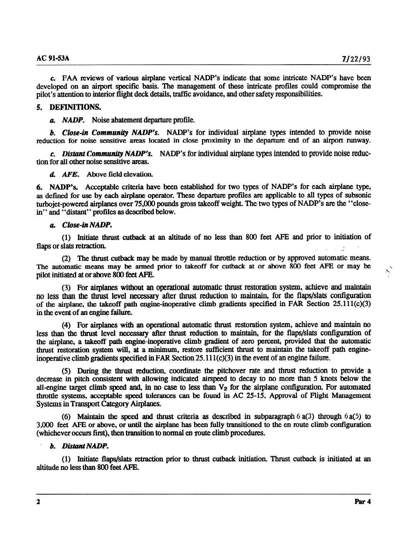c. FAA reviews of various airplane vertical NADP's indicate that some intricate NADP's have been developed on an airport specific basis. The management of these intricate profiles could compromise the pilot's attention to interior flight deck details, traffic avoidance, and other safety responsibilities.

## 5. DEFINITIONS.

a. NADP. Noise abatement departure profile.

b. Close-in Community NADP's. NADP's for individual airplane types intended to provide noise reduction for noise sensitive areas located in close proximity to the departure end of an airport runway.

c. Distant Community NADP's. NADP's for individual airplane types intended to provide noise reduction for all other noise sensitive areas.

d. AFE. Above field elevation.

6. NADP's. Acceptable criteria have been established for two types of NADP's for each airplane type, as defined for use by each airplane operator. These departure profiles are applicable to all types of subsonic turbojet-powered airplanes over 75,000 pounds gross takeoff weight. The two types of NADP's are the "closein" and "distant" profiles as described below.

## a. Close-in NADP.

(1) Initiate thrust cutback at an altitude of no less than 800 feet AFE and prior to initiation of flaps or slats retraction. ,

(2) The thrust cutback may be made by manual throttle reduction or by approved automatic means. The automatic means may be armed prior to takeoff for cutback at or above 800 feet AFE or may be pilot initiated at or above 800 feet APE.

(3) For airplanes without an operational automatic thrust restoration system, achieve and maintain no less than the thrust level necessary after thrust reduction to maintain, for the flaps/slats configuration of the airplane, the takeoff path engine-inoperative climb gradients specified in FAR Section  $25.111(c)(3)$ in the event of an engine failure.

(4) For airplanes with an operational automatic thrust restoration system, achieve and maintain no less than the thrust level necessary after thrust reduction to maintain, for the flaps/slats configuration of the airplane, a takeoff path engine-inoperative climb gradient of zero percent, provided that the automatic thrust restoration system will, at a minimum, restore sufficient thrust to maintain the takeoff path engineinoperative climb gradients specified in FAR Section  $25.111(c)(3)$  in the event of an engine failure.

(5) During the thrust reduction, coordinate the pitchover rate and thrust reduction to provide a decrease in pitch consistent with allowing indicated airspeed to decay to no more than 5 knots below the all-engine target climb speed and, in no case to less than  $V_2$  for the airplane configuration. For automated throttle systems, acceptable speed tolerances can be found in AC 25-15, Approval of Flight Management Systems in Transport Category Airplanes.

(6) Maintain the speed and thrust criteria as described in subparagraph  $6a(3)$  through  $6a(5)$  to 3,ooO feet AFE or above, or until the airplane has been fully transitioned to the en route climb configuration (whichever occurs first), then transition to normal en route climb procedures.

### b. Distant NADP.

(1) Initiate flaps/slats retraction prior to thrust cutback initiation. Thrust cutback is initiated at an altitude no less than 800 feet AFE.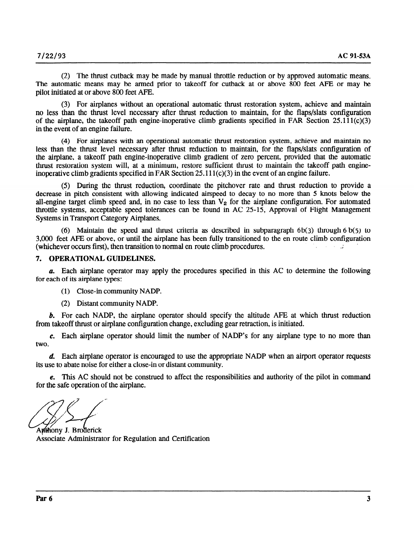(2) The thrust cutback may be made by manual throttle reduction or by approved automatic means. The automatic means may be armed prior to takeoff for cutback at or above 800 feet AFE or may be pilot initiated at or above 800 feet AFE.

(3) For airplanes without an operational automatic thrust restoration system, achieve and maintain no less than the thrust level necessary after thrust reduction to maintain, for the flaps/slats configuration of the airplane, the takeoff path engine-inoperative climb gradients specified in FAR Section 25.111 $(c)(3)$ in the event of an engine failure.

(4) For airplanes with an operational automatic thrust restoration system, achieve and maintain no less than the thrust level necessary after thrust reduction to maintain, for the flaps/slats configuration of the airplane, a takeoff path engine-inoperative climb gradient of zero percent, provided that the automatic thrust restoration system will, at a minimum, restore sufficient thrust to maintain the takeoff path engineinoperative climb gradients specified in FAR Section  $25.111(c)(3)$  in the event of an engine failure.

(5) During the thrust reduction, coordinate the pitchover rate and thrust reduction to provide a decrease in pitch consistent with allowing indicated airspeed to decay to no more than 5 knots below the all-engine target climb speed and, in no case to less than  $V<sub>2</sub>$  for the airplane configuration. For automated throttle systems, acceptable speed tolerances can be found in AC 25-15, Approval of Flight Management Systems in Transport Category Airplanes.

(6) Maintain the speed and thrust criteria as described in subparagraph  $6b(3)$  through  $6b(5)$  to 3,000 feet AFF or above, or until the airplane has been fully transitioned to the en route climb configuration (whichever occurs first), then transition to normal en route climb procedures.

#### 7. OPERATIONAL GUIDELINES.

a. Each airplane operator may apply the procedures specified in this AC to determine the following for each of its airplane types:

- (1) Close-in community NADP.
- (2) Distant community NADP.

b. For each NADP, the airplane operator should specify the altitude AFE at which thrust reduction from takeoff thrust or airplane configuration change, excluding gear retraction, is initiated.

c. Each airplane operator should limit the number of NADP's for any airplane type to no more than two.

d. Each airplane operator is encouraged to use the appropriate NADP when an airport operator requests its use to abate noise for either a close-in or distant community.

e. This AC should not be construed to affect the responsibilities and authority of the pilot in command for the safe operation of the airplane.

Anthony J. Broderick Associate Administrator for Regulation and Certification